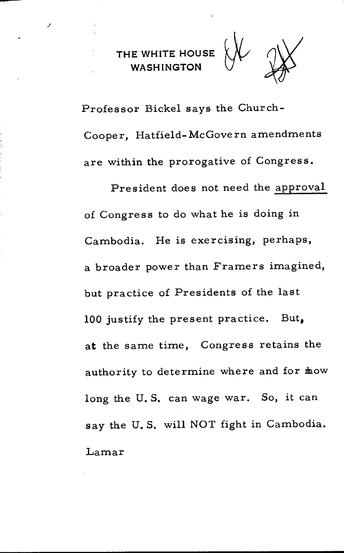ى



Professor Bickel says the Church-Cooper, Hatfield-McGovern amendments are within the prorogative of Congress.

President does not need the approval of Congress to do what he is doing in Cambodia. He is exercising, perhaps, a broader power than Framers imagined, but practice of Presidents of the last 100 justify the present practice. But, at the same time, Congress retains the authority to determine where and for mow long the U.S. can wage war. So, it can say the U. S. will NOT fight in Cambodia. Lamar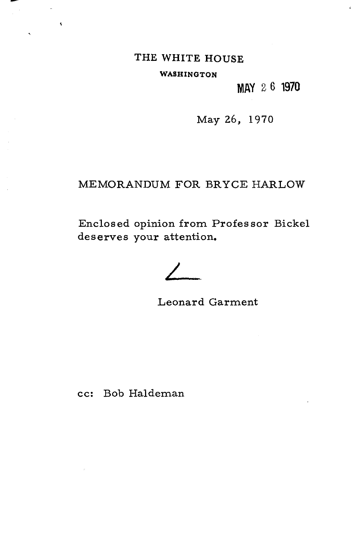# THE WHITE HOUSE

 $\overline{a}$  $\rightarrow$ 

WASHINGTON

**MAY** 26 **1970** 

May 26, 1970

# MEMORANDUM FOR BRYCE HARLOW

Enclosed opinion from Professor Bickel deserves your attention.

Leonard Garment

cc: Bob Haldeman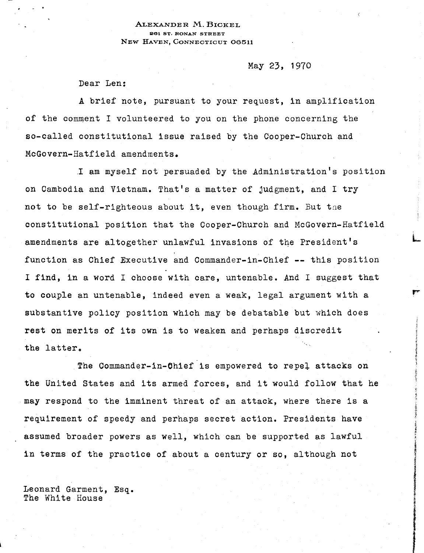### ALEXANDER M. BICKEL 261 ST. RONAN STREET NEW HAVEN, CONNECTICUT 06511

## May 23, 1970

L

, **STATISTICS** 

Dear Len:

A brief note, pursuant to your request, in amplification of the comment I volunteered to you on the phone concerning the so-called constitutional issue raised by the Cooper-Church and McGovern-Hatfield amendments.

. 1 am myself not persuaded by the Administration's position on Cambodia and Vietnam. That's a matter of judgment, and I try not to be self-righteous about it, even though firm. But tae constitutional position that the Cooper-Church and McGovern-Hatfield amendments are altogether unlawful invasions of the President's function as Chief Executive and Commander-in-Chief **--** this position I find, in a word I choose with care, untenable. And I suggest that to couple an untenable, indeed even a weak, legal argument with a substantive policy position which may be debatable but which does rest on merits of its own is to weaken and perhaps discredit the latter.

The Commander-in-Chief is empowered to repel attacks on the United States and its armed forces, and it would follow that he may respond to the imminent threat of an attack, where there is a requirement of speedy and perhaps secret action. Presidents have assumed broader powers as well, which can be supported as lawful in terms of the practice of about a century or so, although not

Leonard Garment, Esq. The White House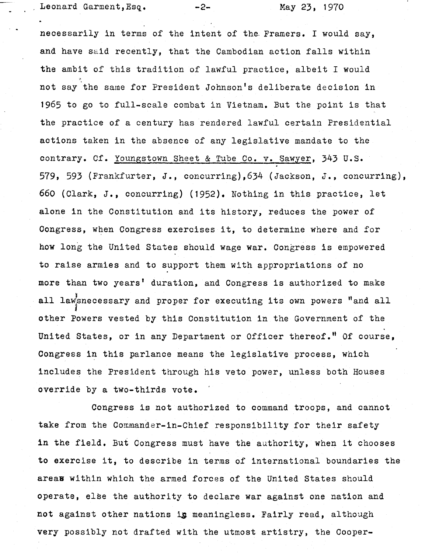Leonard Garment,  $Esq.$  -2- May 23, 1970

necessarily in terms of the intent of the. Framers. I would say, and have said recently, that the Cambodian action falls within the ambit of this tradition of lawful practice, albeit I would not say the same for President Johnson's deliberate decision in 1965 to go to full-scale combat in Vietnam. But the point is that the practice of a century has rendered lawful certain Presidential actions taken in the absence of any legislative mandate to the contrary. Cf. Youngstown Sheet & Tube Co. v. Sawyer, 343 u.s. 579, 593 (Frankfurter, J., concurring),634 (Jackson, J., concurring), 660 (Clark, J., concurring) (1952). Nothing in this practice, let alone in the Constitution and its history, reduces the power of Congress, when Congress exercises it, to determine where and for how long the United States should wage war. Congress is empowered to raise armies and to support them with appropriations of no more than two years' duration, and Congress is authorized to make all lawsnecessary and proper for executing its own powers "and all other Powers vested by this Constitution in the Government of the United States, or in any Department or Officer thereof." Of course, Congress in this parlance means the legislative process, which includes the President through his veto power, unless both Houses override by a two-thirds vote.

Congress is not authorized to command troops, and cannot take from the Commander-in-Chief responsibility for their safety in the field. But Congress must have the authority, when it chooses to exercise it, to describe in terms of international boundaries the areas within which the armed forces of the United States should operate, else the authority to declare war against one nation and not against other nations is meaningless. Fairly read, although very possibly not drafted with the utmost artistry, the Cooper-